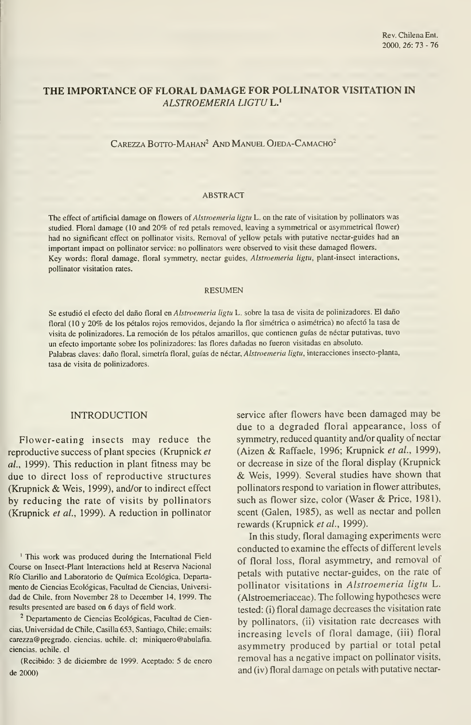# THE IMPORTANCE OF FLORAL DAMAGE FOR POLLINATOR VISITATION IN ALSTROEMERIA LIGTU L.'

CAREZZA BOTTO-MAHAN<sup>2</sup> AND MANUEL OJEDA-CAMACHO<sup>2</sup>

### ABSTRACT

The effect of artificial damage on flowers of Alstroemeria ligtu L. on the rate of visitation by pollinators was studied. Floral damage (10 and 20% of red petáis removed, leaving <sup>a</sup> symmetrical or asymmetrical flower) had no significant effect on pollinator visits. Removal of yellow petals with putative nectar-guides had an important impact on pollinator service: no pollinators were observed to visit these damaged flowers. Key words: floral damage, floral symmetry, nectar guides, Alstroemeria ligtu, plant-insect interactions, pollinator visitation rates.

#### RESUMEN

Se estudió el efecto del daño floral en Alstroemeria ligtu L. sobre la tasa de visita de polinizadores. El daño floral (10 y 20% de los pétalos rojos removidos, dejando la flor simétrica o asimétrica) no afectó la tasa de visita de polinizadores. La remoción de los pétalos amarillos, que contienen guías de néctar putativas, tuvo un efecto importante sobre los polinizadores: las flores dañadas no fueron visitadas en absoluto. Palabras claves: daño floral, simetría floral, guías de néctar, Alstroemeria ligtu, interacciones insecto-planta, tasa de visita de polinizadores.

## INTRODUCTION

Flower-eating insects may reduce the reproductive success of plant species (Krupnick et al., 1999). This reduction in plant fitness may be due to direct loss of reproductive structures (Krupnick & Weis, 1999), and/or to indirect effect by reducing the rate of visits by pollinators (Krupnick et al., 1999). A reduction in pollinator

' This work was produced during the International Field Course on Insect-Plant Interactions held at Reserva Nacional Río Clarillo and Laboratorio de Química Ecológica, Departa mento de Ciencias Ecológicas, Facultad de Ciencias, Universi dad de Chile, from November 28 to December 14, 1999. The results presented are based on 6 days of field work.

<sup>2</sup> Departamento de Ciencias Ecológicas, Facultad de Ciencias, Universidad de Chile, Casilla 653, Santiago, Chile; emails: carezza® pregrado. ciencias, uchile. el; miniquero@abulafia. ciencias, uchile. el

(Recibido: 3 de diciembre de 1999. Aceptado: 5 de enero de 2000)

service after flowers have been damaged may be due to a degraded floral appearance, loss of symmetry, reduced quantity and/or quality of néctar (Aizen & Raffaele, 1996; Krupnick et al., 1999), or decrease in size of the floral display (Krupnick & Weis, 1999). Several studies have shown that pollinators respond to variation in flower attributes, such as flower size, color (Waser & Price, 1981), scent (Galen, 1985), as well as nectar and pollen rewards (Krupnick et al., 1999).

In this study, floral damaging experiments were conducted to examine the effects of different levels of floral loss, floral asymmetry, and removal of petals with putative nectar-guides, on the rate of pollinator visitations in Alstroemeria ligtu L. (Alstroemeriaceae). The following hypotheses were tested: (i) floral damage decreases the visitation rate by pollinators, (ii) visitation rate decreases with increasing levels of floral damage, (iii) floral asymmetry produced by partial or total petal removal has a negative impact on pollinator visits, and (iv) floral damage on petals with putative nectar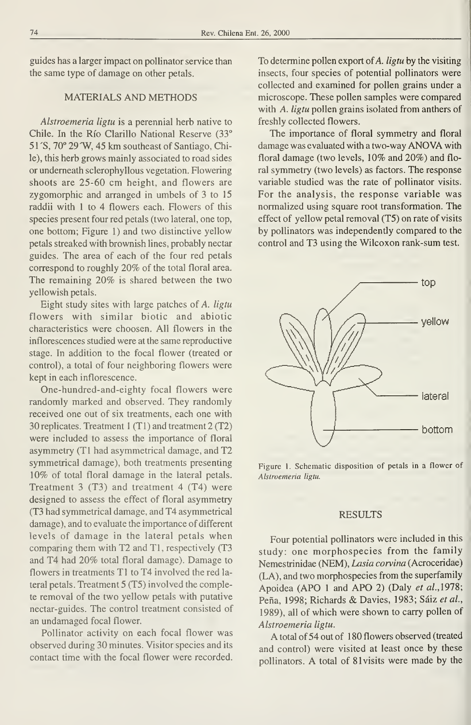guides has a larger impact on pollinator service than the same type of damage on other petals.

## MATERIALS AND METHODS

Alstroemeria ligtu is a perennial herb native to Chile. In the Río Clarillo National Reserve (33° 51'S, 70° 29'W, 45 km southeast of Santiago, Chile), this herb grows mainly associated to road sides or undemeath sclerophyllous vegetation. Flowering shoots are 25-60 cm height, and flowers are zygomorphic and arranged in umbels of 3 to 15 raddii with 1 to 4 flowers each. Flowers of this species present four red petals (two lateral, one top, one bottom; Figure 1) and two distinctive yellow petals streaked with brownish lines, probably nectar guides. The area of each of the four red petals correspond to roughly 20% of the total floral área. The remaining 20% is shared between the two yellowish petáis.

Eight study sites with large patches of A. ligtu flowers with similar biotic and abiotic characteristics were choosen. All flowers in the inflorescences studied were at the same reproductive stage. In addition to the focal flower (treated or control), a total of four neighboring flowers were kept in each inflorescence.

One-hundred-and-eighty focal flowers were randomly marked and observed. They randomly received one out of six treatments, each one with 30 replicates. Treatment <sup>1</sup> (TI) and treatment 2 (T2) were included to assess the importance of floral asymmetry (TI had asymmetrical damage, and T2 symmetrical damage), both treatments presenting 10% of total floral damage in the lateral petals. Treatment 3 (T3) and treatment 4 (T4) were designed to assess the effect of floral asymmetry (T3 had symmetrical damage, and T4 asymmetrical damage), and to evaluate the importance of different levels of damage in the lateral petals when comparing them with T2 and T1, respectively (T3 and T4 had 20% total floral damage). Damage to flowers in treatments TI to T4 involved the red la teral petals. Treatment 5 (T5) involved the complete removal of the two yellow petals with putative nectar-guides. The control treatment consisted of an undamaged focal flower.

Pollinator activity on each focal flower was observed during 30 minutes. Visitor species and its contact time with the focal flower were recorded. To determine pollen export of  $A$ . *ligtu* by the visiting insects, four species of potential pollinators were collected and examined for pollen grains under a microscope. These pollen samples were compared with A. ligtu pollen grains isolated from anthers of freshly collected flowers.

The importance of floral symmetry and floral damage was evaluated with <sup>a</sup> two-way ANOVA with floral damage (two levels, 10% and 20%) and floral symmetry (two levels) as factors. The response variable studied was the rate of pollinator visits. For the analysis, the response variable was normalized using square root transformation. The effect of yellow petal removal (T5) on rate of visits by pollinators was independently compared to the control and T3 using the Wilcoxon rank-sum test.



Figure 1. Schematic disposition of petals in a flower of Alstroemeria ligtu.

### RESULTS

Four potential pollinators were included in this study: one morphospecies from the family Nemestrinidae (NEM), Lasia corvina (Acroceridae) (LA), and two morphospecies from the superfamily Apoidea (APO 1 and APO 2) (Daly et al., 1978; Peña, 1998; Richards & Davies, 1983; Sáiz et al., 1989), all of which were shown to carry pollen of Alstroemeria ligtu.

A total of <sup>54</sup> out of <sup>1</sup> <sup>80</sup> flowers observed (treated and control) were visited at least once by these pollinators. A total of 81 visits were made by the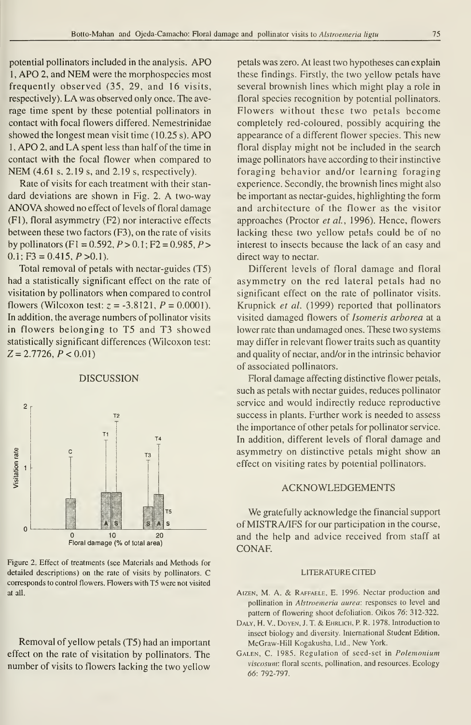potential pollinators included in the analysis. APO <sup>1</sup> , APO 2, and NEM were the morphospecies most frequently observed (35, 29, and 16 visits, respectively). LA was observed only once. The ave rage time spent by these potential pollinators in contact with focal flowers differed. Nemestrinidae showed the longest mean visit time  $(10.25 s)$ . APO <sup>1</sup> ,APO 2, and LA spent less than half of the time in contact with the focal flower when compared to NEM (4.61 s, 2.19 s, and 2.19 s, respectively).

Rate of visits for each treatment with their stan dard deviations are shown in Fig. 2. A two-way ANOVA showed no effect of levels of floral damage (F1), floral asymmetry (F2) nor interactive effects between these two factors (F3), on the rate of visits by pollinators (F1 = 0.592,  $P > 0.1$ ; F2 = 0.985,  $P > 0$  $0.1$ ; F3 = 0.415, P > 0.1).

Total removal of petals with nectar-guides (T5) had a statistically significant effect on the rate of visitation by pollinators when compared to control flowers (Wilcoxon test:  $z = -3.8121$ ,  $P = 0.0001$ ). In addition, the average numbers of pollinator visits in flowers belonging to T5 and T3 showed statistically significant differences (Wilcoxon test:  $Z = 2.7726, P < 0.01$ 

## DISCUSSION



Figure 2. Effect of treatments (see Materials and Methods for detailed descriptions) on the rate of visits by pollinators. C corresponds to control flowers. Flowers with T5 were not visited at all.

Removal of yellow petals (T5) had an important effect on the rate of visitation by pollinators. The number of visits to flowers lacking the two yellow

petáis was zero. At least two hypotheses can explain these findings. Firstly, the two yellow petals have several brownish lines which might play a role in floral species recognition by potential pollinators. Flowers without these two petals become completely red-coloured, possibly acquiring the appearance of a different flower species. This new floral display might not be included in the search image pollinators have according to their instinctive foraging behavior and/or learning foraging experience. Secondly, the brownish lines might also be important as nectar-guides, highlighting the form and architecture of the flower as the visitor approaches (Proctor et al., 1996). Hence, flowers lacking these two yellow petals could be of no interest to insects because the lack of an easy and direct way to nectar.

Different levels of floral damage and floral asymmetry on the red lateral petals had no significant effect on the rate of pollinator visits. Krupnick et al. (1999) reported that pollinators visited damaged flowers of Isomeris arborea at a lower rate than undamaged ones. These two systems may differ in relevant flower traits such as quantity and quality of nectar, and/or in the intrinsic behavior of associated pollinators.

Floral damage affecting distinctive flower petals, such as petals with nectar guides, reduces pollinator service and would indirectly reduce reproductive success in plants. Further work is needed to assess the importance of other petals for pollinator service. In addition, different levels of floral damage and asymmetry on distinctive petals might show an effect on visiting rates by potential pollinators.

### ACKNOWLEDGEMENTS

We gratefully acknowledge the financial support of MISTRA/IFS for our participation in the course, and the help and advice received from staff at CONAF.

### LITERATURECITED

- AIZEN, M. A. & RAFFAELE, E. 1996. Nectar production and pollination in Alstroemeria aurea: responses to level and pattem of flowering shoot defoliation. Oikos 76: 312-322.
- DALY, H. V., DOYEN, J. T. & EHRLICH, P. R. 1978. Introduction to insect biology and diversity. International Student Edition. McGraw-Hill Kogakusha, Ltd., New York.
- Galen, C. 1985. Regulation of seed-set in Polemonium viscosum: floral scents, pollination, and resources. Ecology 66: 792-797,